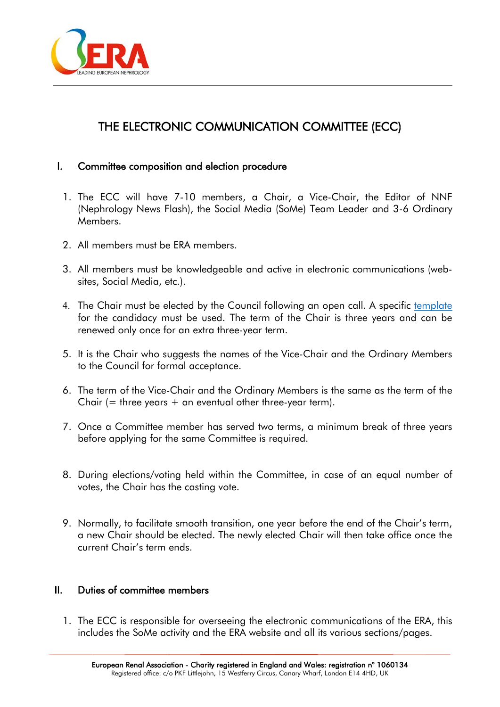

## THE ELECTRONIC COMMUNICATION COMMITTEE (ECC)

## I. Committee composition and election procedure

- 1. The ECC will have 7-10 members, a Chair, a Vice-Chair, the Editor of NNF (Nephrology News Flash), the Social Media (SoMe) Team Leader and 3-6 Ordinary Members.
- 2. All members must be ERA members.
- 3. All members must be knowledgeable and active in electronic communications (websites, Social Media, etc.).
- 4. The Chair must be elected by the Council following an open call. A specific [template](https://www.era-online.org/en/wp-content/uploads/2021/09/ECC_Chair_Candidate_Application_NEW.docx) for the candidacy must be used. The term of the Chair is three years and can be renewed only once for an extra three-year term.
- 5. It is the Chair who suggests the names of the Vice-Chair and the Ordinary Members to the Council for formal acceptance.
- 6. The term of the Vice-Chair and the Ordinary Members is the same as the term of the Chair  $($  = three years  $+$  an eventual other three-year term).
- 7. Once a Committee member has served two terms, a minimum break of three years before applying for the same Committee is required.
- 8. During elections/voting held within the Committee, in case of an equal number of votes, the Chair has the casting vote.
- 9. Normally, to facilitate smooth transition, one year before the end of the Chair's term, a new Chair should be elected. The newly elected Chair will then take office once the current Chair's term ends.

## II. Duties of committee members

1. The ECC is responsible for overseeing the electronic communications of the ERA, this includes the SoMe activity and the ERA website and all its various sections/pages.